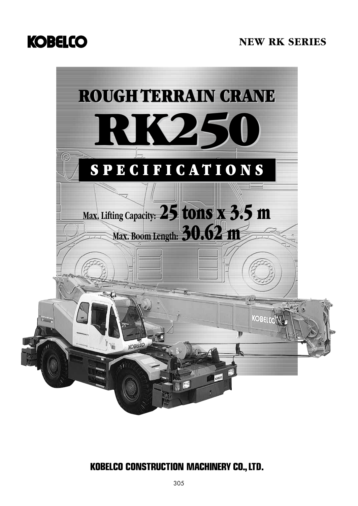# **KOBELCO**

# **NEW RK SERIES**



# **KOBELCO CONSTRUCTION MACHINERY CO., LTD.**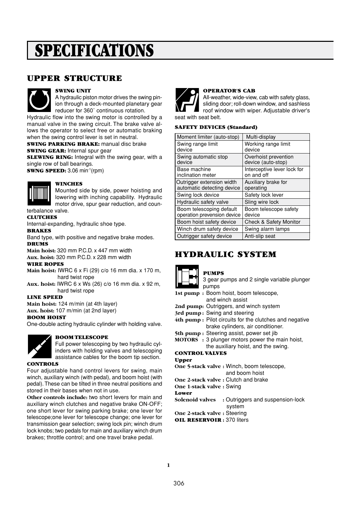# SPECIFICATIONS

### UPPER STRUCTURE



#### SWING UNIT

A hydraulic piston motor drives the swing pinion through a deck-mounted planetary gear reducer for 360˚ continuous rotation.

Hydraulic flow into the swing motor is controlled by a manual valve in the swing circuit. The brake valve allows the operator to select free or automatic braking when the swing control lever is set in neutral.

SWING PARKING BRAKE: manual disc brake **SWING GEAR: Internal spur gear** 

**SLEWING RING:** Integral with the swing gear, with a single row of ball bearings.

SWNG SPEED: 3.06 min-1(rpm)



#### **WINCHES**

Mounted side by side, power hoisting and lowering with inching capability. Hydraulic motor drive, spur gear reduction, and coun-

#### terbalance valve.

#### **CLUTCHES**

Internal-expanding, hydraulic shoe type.

#### BRAKES

Band type, with positive and negative brake modes. **DRUMS** 

**Main hoist:** 320 mm P.C.D. x 447 mm width **Aux. hoist:** 320 mm P.C.D. x 228 mm width

#### WIRE ROPES

- **Main hoist:** IWRC 6 x Fi (29) c/o 16 mm dia. x 170 m, hard twist rope
- **Aux. hoist:** IWRC 6 x Ws (26) c/o 16 mm dia. x 92 m, hard twist rope

#### LINE SPEED

**Main hoist:** 124 m/min (at 4th layer) **Aux. hoist:** 107 m/min (at 2nd layer)

#### BOOM HOIST

One-double acting hydraulic cylinder with holding valve.

#### BOOM TELESCOPE

Full power telescoping by two hydraulic cylinders with holding valves and telescoping assistance cables for the boom tip section.

#### CONTROLS

Four adjustable hand control levers for swing, main winch, auxiliary winch (with pedal), and boom hoist (with pedal). These can be tilted in three neutral positions and stored in their bases when not in use.

**Other controls include:** two short levers for main and auxiliary winch clutches and negative brake ON-OFF; one short lever for swing parking brake; one lever for telescope;one lever for telescope change; one lever for transmission gear selection; swing lock pin; winch drum lock knobs; two pedals for main and auxiliary winch drum brakes; throttle control; and one travel brake pedal.



### OPERATOR'S CAB

All-weather, wide-view, cab with safety glass, sliding door; roll-down window, and sashless roof window with wiper. Adjustable driver's seat with seat belt.

#### SAFETY DEVICES (Standard)

| Moment limiter (auto-stop)                              | Multi-display                              |
|---------------------------------------------------------|--------------------------------------------|
| Swing range limit<br>device                             | Working range limit<br>device              |
| Swing automatic stop<br>device                          | Overhoist prevention<br>device (auto-stop) |
| Base machine<br>inclination meter                       | Interceptive lever lock for<br>on and off  |
| Outrigger extension width<br>automatic detecting device | Auxiliary brake for<br>operating           |
| Swing lock device                                       | Safety lock lever                          |
| Hydraulic safety valve                                  | Sling wire lock                            |
| Boom telescoping default<br>operation prevension device | Boom telescope safety<br>device            |
| Boom hoist safety device                                | <b>Check &amp; Safety Monitor</b>          |
| Winch drum safety device                                | Swing alarm lamps                          |
| Outrigger safety device                                 | Anti-slip seat                             |

## HYDRAULIC SYSTEM



#### PUMPS

- 3 gear pumps and 2 single variable plunger pumps
- **1st pump :** Boom hoist, boom telescope, and winch assist
- **2nd pump:** Outriggers, and winch system
- **3rd pump :** Swing and steering
- **4th pump :** Pilot circuits for the clutches and negative brake cylinders, air conditioner.
- **5th pump :** Steering assist, power set jib
- **MOTORS :** 3 plunger motors power the main hoist, the auxiliary hoist, and the swing.

#### CONTROL VALVES

#### Upper

- **One 5-stack valve :** Winch, boom telescope, and boom hoist
- **One 2-stack valve :** Clutch and brake

**One 1-stack valve :** Swing

Lower

**Solenoid valves :** Outriggers and suspension-lock system

**One 2-stack valve :** Steering

OIL RESERVOIR **:** 370 liters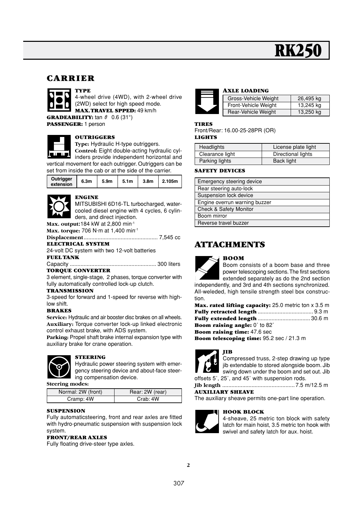# **RK**

### CARRIER



4-wheel drive (4WD), with 2-wheel drive (2WD) select for high speed mode. MAX. TRAVEL SPPED: 49 km/h **GRADEABILITY:** tan  $\theta$  0.6 (31°)

PASSENGER: 1 person



#### **OUTRIGGERS**

**Type:** Hydraulic H-type outriggers.

**Control:** Eight double-acting hydraulic cylinders provide independent horizontal and vertical movement for each outrigger. Outriggers can be set from inside the cab or at the side of the carrier.

| Outrigger<br>extension | 6.3 <sub>m</sub> | 5.9m | 5.1 <sub>m</sub> | 3.8 <sub>m</sub> | 2.105m |
|------------------------|------------------|------|------------------|------------------|--------|



#### ENGINE

MITSUBISHI 6D16-TL turbocharged, watercooled diesel engine with 4 cycles, 6 cylinders, and direct injection.

**Max. output:**184 kW at 2,800 min-1 **Max. torque:** 706 N·m at 1,400 min<sup>-1</sup>

**Displacement**................................................ 7,545 cc

### ELECTRICAL SYSTEM

24-volt DC system with two 12-volt batteries

### FUEL TANK

Capacity ........................................................ 300 liters TORQUE CONVERTER

3 element, single-stage, 2 phases, torque converter with fully automatically controlled lock-up clutch.

#### **TRANSMISSION**

3-speed for forward and 1-speed for reverse with highlow shift.

#### BRAKES

**Service:** Hydraulic and air booster disc brakes on all wheels. **Auxiliary:** Torque converter lock-up linked electronic control exhaust brake, with ADS system.

**Parking:** Propel shaft brake internal expansion type with auxiliary brake for crane operation.



#### STEERING

Hydraulic power steering system with emergency steering device and about-face steering compensation device.

**Steering modes:**

| Normal: 2W (front) | Rear: 2W (rear) |
|--------------------|-----------------|
| Cramp: 4W          | Crab: 4W        |

#### SUSPENSION

Fully automaticsteering, front and rear axles are fitted with hydro-pneumatic suspension with suspension lock system.

#### FRONT/REAR AXLES

Fully floating drive-steer type axles.



#### AXLE LOADING

| Gross-Vehicle Weight | 26,495 kg |
|----------------------|-----------|
| Front-Vehicle Weight | 13,245 kg |
| Rear-Vehicle Weight  | 13,250 kg |

#### TIRES

Front/Rear: 16.00-25-28PR (OR) LIGHTS

| Headlights      | License plate light |
|-----------------|---------------------|
| Clearance light | Directional lights  |
| Parking lights  | Back light          |

#### SAFETY DEVICES

| Emergency steering device     |
|-------------------------------|
| Rear steering auto-lock       |
| Suspension lock device        |
| Engine overrun warning buzzer |
| Check & Safety Monitor        |
| Boom mirror                   |
| Reverse travel buzzer         |

## ATTACHMENTS

#### BOOM



Boom consists of a boom base and three power telescoping sections. The first sections extended separately as do the 2nd section

independently, and 3rd and 4th sections synchronized. All-weleded, high tensile strength steel box construction.

| <b>Max. rated lifting capacity:</b> 25.0 metric ton x 3.5 m |  |
|-------------------------------------------------------------|--|
|                                                             |  |
|                                                             |  |
| <b>Boom raising angle:</b> $0^{\circ}$ to $82^{\circ}$      |  |
| <b>Boom raising time:</b> 47.6 sec                          |  |
| <b>Boom telescoping time:</b> 95.2 sec / 21.3 m             |  |



Compressed truss, 2-step drawing up type jib extendable to stored alongside boom. Jib swing down under the boom and set out. Jib offsets 5˚, 25˚, and 45˚ with suspension rods.

**Jib length** ............................................... 7.5 m/12.5 m

#### AUXILIARY SHEAVE

The auxiliary sheave permits one-part line operation.

#### HOOK BLOCK



4-sheave, 25 metric ton block with safety latch for main hoist, 3.5 metric ton hook with swivel and safety latch for aux. hoist.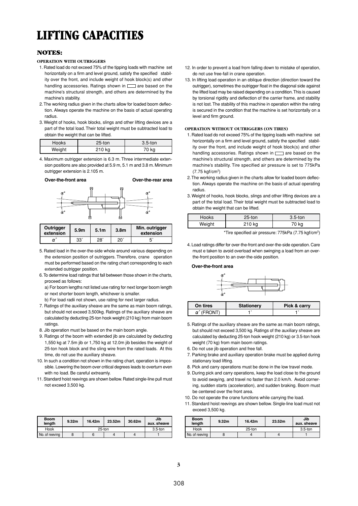# LIFTING CAPACITIES

#### NOTES:

#### **OPERATION WITH OUTRIGGERS**

- 1. Rated load do not exceed 75% of the tipping loads with machine set horizontally on a firm and level ground, satisfy the specified stability over the front, and include weight of hook block(s) and other handling accessories. Ratings shown in  $\Box$  are based on the machine's structural strength, and others are determined by the machine's stability.
- 12. The working radius given in the charts allow for loaded boom deflection. Always operate the machine on the basis of actual operating radius.
- 13. Weight of hooks, hook blocks, slings and other lifting devices are a part of the total load. Their total weight must be subtracted load to obtain the weight that can be lifted.

| Hooks  | $25$ -ton | $3.5$ -ton |
|--------|-----------|------------|
| Weight | 210 kg    | 70 kg      |

4. Maximum outrigger extension is 6.3 m. Three intermediate extension positions are also provided at 5.9 m, 5.1 m and 3.8 m. Minimum outrigger extension is 2.105 m.



| Outrigger<br>extension | 5.9 <sub>m</sub> | 5.1 <sub>m</sub> | 3.8 <sub>m</sub> | Min. outrigger<br>extension |
|------------------------|------------------|------------------|------------------|-----------------------------|
| α                      | 33°              | $28^{\circ}$     | 20               |                             |

- 15. Rated load in the over-the-side whole around various depending on the extension position of outriggers. Therefore, crane operation must be performed based on the rating chart corresponding to each extended outrigger position.
- 16. To determine load ratings that fall between those shown in the charts, proceed as follows:
	- a) For boom lengths not listed use rating for next longer boom length or next shorter boom length, whichever is smaller.
	- b) For load radii not shown, use rating for next larger radius.
- 17. Ratings of the auxiliary sheave are the same as main boom ratings, but should not exceed 3,500kg. Ratings of the auxiliary sheave are calculated by deducting 25-ton hook weight (210 kg) from main boom ratings.
- 8. Jib operation must be based on the main boom angle.
- 19. Ratings of the boom with extended jib are calculated by deducting 1,550 kg at 7.5m jib or 1,750 kg at 12.0m jib besides the weight of 25-ton hook block and the sling wire from the rated loads. At this time, do not use the auxiliary sheave.
- 10. In such a condition not shown in the rating chart, operation is impossible. Lowering the boom over critical degrees leads to overturn even with no load. Be careful extreamly.
- 11. Standard hoist reevings are shown bellow. Rated single-line pull must not exceed 3,500 kg.

| <b>Boom</b><br>length | 9.32 <sub>m</sub> | 16.42m | 23.52m | 30.62m | Jib<br>aux. sheave |
|-----------------------|-------------------|--------|--------|--------|--------------------|
| Hook                  | 25-ton            |        |        |        | $3.5$ -ton         |
| No. of reeving        |                   |        |        |        |                    |

- 12. In order to prevent a load from falling down to mistake of operation, do not use free-fall in crane operation.
- 13. In lifting load operation in an oblique direction (direction toward the outrigger), sometimes the outrigger float in the diagonal side against the lifted load may be raised depending on a condition. This is caused by torsional rigidity and deflection of the carrier frame, and stability is not lost. The stability of this machine in operation within the rating is secured in the condition that the machine is set horizontally on a level and firm ground.

#### **OPERATION WITHOUT OUTRIGGERS (ON TIRES)**

- 1. Rated load do not exceed 75% of the tipping loads with machine set horizontally on a firm and level ground, satisfy the specified stability over the front, and include weight of hook block(s) and other handling accessories. Ratings shown in  $\Box$  are based on the machine's structural strength, and others are determined by the machine's stability. Tire specified air pressure is set to 775kPa  $(7.75 \text{ km}^2)(cm^2)$
- 12. The working radius given in the charts allow for loaded boom deflection. Always operate the machine on the basis of actual operating radius.
- 13. Weight of hooks, hook blocks, slings and other lifting devices are a part of the total load. Their total weight must be subtracted load to obtain the weight that can be lifted.

| Hooks  | 25-ton | $3.5$ -ton |
|--------|--------|------------|
| Weight | 210 kg |            |

\*Tire specified air pressure: 775kPa (7.75 kgf/cm2)

14. Load ratings differ for over-the-front and over-the-side operation. Care must e taken to avoid overload when swinging a load from an overthe-front position to an over-the-side position.

#### **Over-the-front area**



| On tires | Stationery | Pick & carry |
|----------|------------|--------------|
|          |            |              |

- 15. Ratings of the auxiliary sheave are the same as main boom ratings, but should not exceed 3,500 kg. Ratings of the auxiliary sheave are calculated by deducting 25-ton hook weight (210 kg) or 3.5-ton hook weight (70 kg) from main boom ratings.
- 16. Do not use jib operation and free fall.
- 17. Parking brake and auxiliary operation brake must be applied during stationary load lifting.
- 8. Pick and carry operations must be done in the low travel mode.
- 19. During pick and carry operations, keep the load close to the ground to avoid swaying, and travel no faster than 2.0 km/h. Avoid cornering, sudden starts (acceleration), and sudden braking. Boom must be centered over the front area.
- 10. Do not operate the crane functions while carrying the load.
- 11. Standard hoist reevings are shown bellow. Single-line load must not exceed 3,500 kg.

| <b>Boom</b><br>length | 9.32 <sub>m</sub> | 16.42m | 23.52m | Jib<br>aux. sheave |
|-----------------------|-------------------|--------|--------|--------------------|
| Hook                  |                   | 25-ton |        | $3.5$ -ton         |
| No. of reeving        |                   |        |        |                    |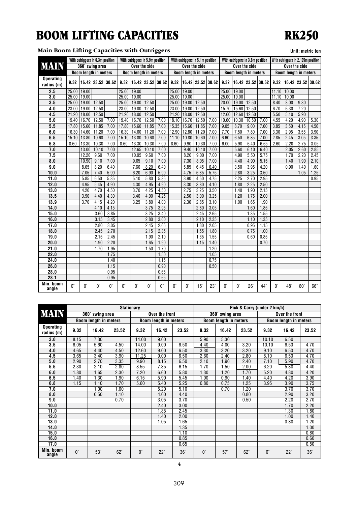# BOOM LIFTING CAPACITIES

### **Main Boom Lifting Capacities with Outriggers Unit: metric tonnel in the United States of Density Control of Density Control of Density Control of Density Control of Density Control of Density Control of Density Control**

# RK250

|  |  |  | Unit: metric ton |  |
|--|--|--|------------------|--|
|  |  |  |                  |  |

|                    |                 | With outriggers in 6.3m position |                   |             |             | With outriggers in 5.9m position |                   |             |             | With outriggers in 5.1m position |            |                   |             |                   | With outriggers in 3.8m position |              |             |            | With outriggers in 2.105m position |                   |
|--------------------|-----------------|----------------------------------|-------------------|-------------|-------------|----------------------------------|-------------------|-------------|-------------|----------------------------------|------------|-------------------|-------------|-------------------|----------------------------------|--------------|-------------|------------|------------------------------------|-------------------|
| <b>MAIN</b>        |                 | 360° swing area                  |                   |             |             | Over the side                    |                   |             |             | Over the side                    |            |                   |             | Over the side     |                                  |              |             |            | Over the side                      |                   |
|                    |                 | <b>Boom length in meters</b>     |                   |             |             | <b>Boom length in meters</b>     |                   |             |             | <b>Boom length in meters</b>     |            |                   |             |                   | <b>Boom length in meters</b>     |              |             |            | <b>Boom length in meters</b>       |                   |
| <b>Operating</b>   |                 |                                  |                   |             |             |                                  |                   |             |             |                                  |            |                   |             |                   |                                  |              |             |            |                                    |                   |
| radius (m)         | 9.32            |                                  | 16.42 23.52 30.62 |             | 9.32        |                                  | 16.42 23.52 30.62 |             | 9.32        |                                  |            | 16.42 23.52 30.62 | 9.32        |                   | 16.42 23.52 30.62                |              | 9.32        |            |                                    | 16.42 23.52 30.62 |
| 2.5                | 25.00           | 19.00                            |                   |             | 25.00       | 19.00                            |                   |             | 25.00       | 19.00                            |            |                   | 25.00       | 19.00             |                                  |              | 11.10       | 10.00      |                                    |                   |
| 3.0                | 25.00 19.00     |                                  |                   |             | 25.00       | 19.00                            |                   |             | 25.00       | 19.00                            |            |                   | 25.00       | 19.00             |                                  |              | 11.10       | 10.00      |                                    |                   |
| 3.5                |                 | 25.00 19.00 12.50                |                   |             | 25.00       | 19.00                            | 12.50             |             | 25.00       | 19.00                            | 12.50      |                   |             | 20.00 19.00 12.50 |                                  |              | 8.40        | 8.00       | 9.30                               |                   |
| 4.0                | 23.00 19.00     |                                  | 12.50             |             | 23.00       | 19.00                            | 12.50             |             | 23.00       | 19.00                            | 12.50      |                   | 15.70       | 15.60 12.50       |                                  |              | 6.70        | 6.30       | 7.20                               |                   |
| 4.5                | 21.20           | 18.00                            | 12.50             |             | 21.20       | 18.00                            | 12.50             |             | 21.20       | 18.00                            | 12.50      |                   | 12.60       |                   | 12.60 12.50                      |              | 5.50        | 5.10       | 5.90                               |                   |
| 5.0                | 19.40           | 16.70                            | 12.50             | 7.00        | 19.40       | 16.70                            | 12.50             | 7.00        | 18.10       | 16.70                            | 12.50      | 7.00              | 10.60       | 10.30             | 10.50                            | 7.00         | 4.55        | 4.20       | 4.90                               | 5.30              |
| 5.5                | 17.80           | 15.60                            | 11.85             | 7.00        | 17.80       | 15.60                            | 11.85             | 7.00        | 15.35       | 15.60                            | 11.85      | 7.00              | 9.05        | 8.70              | 9.00                             | 7.00         | 3.85        | 3.50       | 4.15                               | 4.50              |
| 6.0                | 16.30           | 14.60                            | 11.20             | 7.00        | 16.30       | 14.60                            | 11.20             | 7.00        | 12.90       | 12.80                            | 11.20      | 7.00              | 7.70        | 7.50              | 7.80                             | 7.00         | 3.30        | 2.95       | 3.55                               | 3.90              |
| 6.5                | $15.10$   13.80 |                                  | 10.60             | 7.00        | 15.10       | 13.80                            | 10.60             | 7.00        | 11.10       | 10.80                            | 10.60      | 7.00              | 6.60        | 6.50              | 6.85                             | 7.00         | 2.85        | 2.45       | 3.05                               | 3.35              |
| 6.8                | 8.60            | 13.30                            | 10.30             | 7.00        | 8.60        | 13.30                            | 10.30             | 7.00        | 8.60        | 9.90                             | 10.30      | 7.00              | 6.00        | 5.90              | 6.40                             | 6.65         | 2.60        | 2.20       | 2.75                               | 3.05              |
| 7.0                |                 | 13.00                            | 10.10             | 7.00        |             | 12.65                            | 10.10             | 7.00        |             | 9.40                             | 10.10      | 7.00              |             | 5.60              | 6.10                             | 6.40         |             | 2.05       | 2.60                               | 2.85              |
| 7.5                |                 | 12.20                            | 9.60              | 7.00        |             | 10.95                            | 9.60              | 7.00        |             | 8.20                             | 9.00       | 7.00              |             | 4.90              | 5.50                             | 5.75         |             | 1.70       | 2.20                               | 2.45              |
| 8.0                |                 | 10.90                            | 9.10              | 7.00        |             | 9.65                             | 9.10              | 7.00        |             | 7.30                             | 8.05       | 7.00              |             | 4.40              | 4.90                             | 5.15         |             | 1.40       | 1.90                               | 2.10              |
| 9.0                |                 | 8.65                             | 8.20              | 6.40        |             | 7.60                             | 8.20              | 6.40        |             | 5.85                             | 6.45       | 6.40              |             | 3.50              | 3.95                             | 4.20         |             | 0.90       | 1.40                               | 1.60              |
| 10.0               |                 | 7.05                             | 7.40              | 5.90        |             | 6.20                             | 6.90              | 5.90        |             | 4.75                             | 5.35       | 5.75              |             | 2.80              | 3.25                             | 3.50         |             |            | 1.05                               | 1.25              |
| 11.0               |                 | 5.85                             | 6.50              | 5.35        |             | 5.10                             | 5.80              | 5.35        |             | 3.90                             | 4.50       | 4.75              |             | 2.25              | 2.70                             | 2.95         |             |            |                                    | 0.95              |
| 12.0               |                 | 4.95                             | 5.45              | 4.90        |             | 4.30                             | 4.95              | 4.90        |             | 3.30                             | 3.80       | 4.10              |             | 1.80              | 2.25                             | 2.50         |             |            |                                    |                   |
| 13.0               |                 | 4.20                             | 4.70              | 4.50        |             | 3.70                             | 4.25              | 4.50        |             | 2.75                             | 3.25       | 3.50              |             | 1.40              | 1.90                             | 2.15         |             |            |                                    |                   |
| 13.5               |                 | 3.90                             | 4.40              | 4.30        |             | 3.40                             | 4.00              | 4.25        |             | 2.50                             | 3.00       | 3.25              |             | 1.20              | 1.75                             | 2.00         |             |            |                                    |                   |
| 13.9               |                 | 3.70                             | 4.15              | 4.20        |             | 3.25                             | 3.80              | 4.00        |             | 2.30                             | 2.85       | 3.10              |             | 1.00              | 1.65                             | 1.90         |             |            |                                    |                   |
| 14.0               |                 |                                  | 4.10              | 4.15        |             |                                  | 3.75              | 3.95        |             |                                  | 2.80       | 3.05              |             |                   | 1.60                             | 1.85         |             |            |                                    |                   |
| 15.0               |                 |                                  | 3.60              | 3.85        |             |                                  | 3.25              | 3.40        |             |                                  | 2.45       | 2.65              |             |                   | 1.35                             | 1.55         |             |            |                                    |                   |
| 16.0               |                 |                                  | 3.15              | 3.45        |             |                                  | 2.80              | 3.00        |             |                                  | 2.10       | 2.35              |             |                   | 1.10                             | 1.35         |             |            |                                    |                   |
| 17.0               |                 |                                  | 2.80              | 3.05        |             |                                  | 2.45              | 2.65        |             |                                  | 1.80       | 2.05              |             |                   | 0.95                             | 1.15         |             |            |                                    |                   |
| 18.0               |                 |                                  | 2.45              | 2.70        |             |                                  | 2.15              | 2.35        |             |                                  | 1.55       | 1.80              |             |                   | 0.75                             | 1.00         |             |            |                                    |                   |
| 19.0               |                 |                                  | 2.15              | 2.45        |             |                                  | 1.90              | 2.10        |             |                                  | 1.35       | 1.55              |             |                   | 0.60                             | 0.85         |             |            |                                    |                   |
| 20.0               |                 |                                  | 1.90              | 2.20        |             |                                  | 1.65              | 1.90        |             |                                  | 1.15       | 1.40              |             |                   |                                  | 0.70         |             |            |                                    |                   |
| 21.0               |                 |                                  | 1.70              | 1.95        |             |                                  | 1.50              | 1.70        |             |                                  |            | 1.20              |             |                   |                                  |              |             |            |                                    |                   |
| 22.0               |                 |                                  |                   | 1.75        |             |                                  |                   | 1.50        |             |                                  |            | 1.05              |             |                   |                                  |              |             |            |                                    |                   |
| 24.0               |                 |                                  |                   | 1.40        |             |                                  |                   | 1.15        |             |                                  |            | 0.75              |             |                   |                                  |              |             |            |                                    |                   |
| 26.0               |                 |                                  |                   | 1.15        |             |                                  |                   | 0.90        |             |                                  |            | 0.50              |             |                   |                                  |              |             |            |                                    |                   |
| 28.0               |                 |                                  |                   | 0.95        |             |                                  |                   | 0.65        |             |                                  |            |                   |             |                   |                                  |              |             |            |                                    |                   |
| 28.1               |                 |                                  |                   | 0.95        |             |                                  |                   | 0.65        |             |                                  |            |                   |             |                   |                                  |              |             |            |                                    |                   |
| Min. boom<br>angle | U.              | $0^{\circ}$                      | $0^{\circ}$       | $0^{\circ}$ | $0^{\circ}$ | $0^{\circ}$                      | $0^{\circ}$       | $0^{\circ}$ | $0^{\circ}$ | $0^{\circ}$                      | $15^\circ$ | $23^\circ$        | $0^{\circ}$ | $0^{\circ}$       | $26^\circ$                       | $44^{\circ}$ | $0^{\circ}$ | $48^\circ$ | $60^\circ$                         | $66^\circ$        |

|                                | <b>Stationary</b> |                              |            |             |                              |            | Pick & Carry (under 2 km/h)                                  |                 |            |             |                |            |
|--------------------------------|-------------------|------------------------------|------------|-------------|------------------------------|------------|--------------------------------------------------------------|-----------------|------------|-------------|----------------|------------|
| <b>MAIN</b>                    |                   | 360° swing area              |            |             | Over the front               |            |                                                              | 360° swing area |            |             | Over the front |            |
|                                |                   | <b>Boom length in meters</b> |            |             | <b>Boom length in meters</b> |            | <b>Boom length in meters</b><br><b>Boom length in meters</b> |                 |            |             |                |            |
| <b>Operating</b><br>radius (m) | 9.32              | 16.42                        | 23.52      | 9.32        | 16.42                        | 23.52      | 9.32                                                         | 16.42           | 23.52      | 9.32        | 16.42          | 23.52      |
| 3.0                            | 8.15              | 7.30                         |            | 14.00       | 9.00                         |            | 5.90                                                         | 5.30            |            | 10.10       | 6.50           |            |
| 3.5                            | 6.05              | 5.60                         | 4.50       | 14.00       | 9.00                         | 6.50       | 4.40                                                         | 4.00            | 3.20       | 10.10       | 6.50           | 4.70       |
| 4.0                            | 4.65              | 4.40                         | 4.50       | 12.60       | 9.00                         | 6.50       | 3.30                                                         | 3.20            | 3.20       | 9.10        | 6.50           | 4.70       |
| 4.5                            | 3.65              | 3.40                         | 3.90       | 11.25       | 9.00                         | 6.50       | 2.60                                                         | 2.40            | 2.80       | 8.10        | 6.50           | 4.70       |
| 5.0                            | 2.90              | 2.70                         | 3.35       | 9.90        | 8.15                         | 6.50       | 2.10                                                         | 1.90            | 2.40       | 7.10        | 5.90           | 4.70       |
| 5.5                            | 2.30              | 2.10                         | 2.80       | 8.55        | 7.35                         | 6.15       | 1.70                                                         | 1.50            | 2.00       | 6.20        | 5.30           | 4.40       |
| 6.0                            | 1.80              | 1.65                         | 2.30       | 7.20        | 6.60                         | 5.80       | 1.30                                                         | 1.20            | 1.70       | 5.20        | 4.80           | 4.20       |
| 6.5                            | 1.40              | 1.30                         | 1.90       | 6.15        | 5.90                         | 5.45       | 1.00                                                         | 0.90            | 1.40       | 4.40        | 4.20           | 3.90       |
| 6.8                            | 1.15              | 1.10                         | 1.70       | 5.60        | 5.40                         | 5.25       | 0.80                                                         | 0.75            | 1.25       | 3.95        | 3.90           | 3.75       |
| 7.0                            |                   | 1.00                         | 1.60       |             | 5.20                         | 5.10       |                                                              | 0.70            | 1.20       |             | 3.70           | 3.70       |
| 8.0                            |                   | 0.50                         | 1.10       |             | 4.00                         | 4.40       |                                                              |                 | 0.80       |             | 2.90           | 3.20       |
| 9.0                            |                   |                              | 0.70       |             | 3.05                         | 3.70       |                                                              |                 | 0.50       |             | 2.20           | 2.70       |
| 10.0                           |                   |                              |            |             | 2.40                         | 3.00       |                                                              |                 |            |             | 1.70           | 2.20       |
| 11.0                           |                   |                              |            |             | 1.85                         | 2.45       |                                                              |                 |            |             | 1.30           | 1.80       |
| 12.0                           |                   |                              |            |             | 1.40                         | 2.00       |                                                              |                 |            |             | 1.00           | 1.40       |
| 13.0                           |                   |                              |            |             | 1.05                         | 1.65       |                                                              |                 |            |             | 0.80           | 1.20       |
| 14.0                           |                   |                              |            |             |                              | 1.35       |                                                              |                 |            |             |                | 1.00       |
| 15.0                           |                   |                              |            |             |                              | 1.10       |                                                              |                 |            |             |                | 0.80       |
| 16.0                           |                   |                              |            |             |                              | 0.85       |                                                              |                 |            |             |                | 0.60       |
| 17.0                           |                   |                              |            |             |                              | 0.65       |                                                              |                 |            |             |                | 0.50       |
| Min. boom<br>angle             | $0^{\circ}$       | $53^\circ$                   | $62^\circ$ | $0^{\circ}$ | $22^{\circ}$                 | $36^\circ$ | $0^{\circ}$                                                  | $57^\circ$      | $62^\circ$ | $0^{\circ}$ | $22^\circ$     | $36^\circ$ |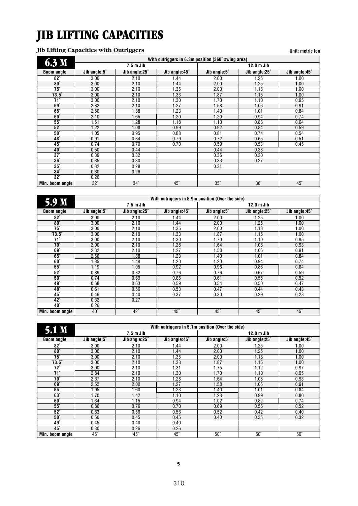# JIB LIFTING CAPACITIES

### **Jib Lifting Capacities with Outriggers Unit: metric ton**

| 6.3 <sub>M</sub>      |              |               | With outriggers in 6.3m position (360° swing area) |              |               |               |
|-----------------------|--------------|---------------|----------------------------------------------------|--------------|---------------|---------------|
|                       |              | $7.5m$ Jib    |                                                    |              | $12.0m$ Jib   |               |
| <b>Boom angle</b>     | Jib angle:5° | Jib angle:25° | Jib angle:45°                                      | Jib angle:5° | Jib angle:25° | Jib angle:45° |
| $82^\circ$            | 3.00         | 2.10          | 1.44                                               | 2.00         | 1.25          | 1.00          |
| $80^\circ$            | 3.00         | 2.10          | 1.44                                               | 2.00         | 1.25          | 1.00          |
| $75^\circ$            | 3.00         | 2.10          | 1.35                                               | 2.00         | 1.18          | 1.00          |
| $73.5^\circ$          | 3.00         | 2.10          | 1.33                                               | 1.87         | 1.15          | 1.00          |
| $\overline{71}$ °     | 3.00         | 2.10          | 1.30                                               | 1.70         | 1.10          | 0.95          |
| $69^\circ$            | 2.82         | 2.10          | 1.27                                               | 1.58         | 1.06          | 0.91          |
| $65^\circ$            | 2.50         | 1.88          | 1.23                                               | 1.40         | 1.01          | 0.84          |
| $60^\circ$            | 2.10         | 1.65          | 1.20                                               | 1.20         | 0.94          | 0.74          |
| $55^\circ$            | 1.51         | 1.28          | 1.18                                               | 1.10         | 0.88          | 0.64          |
| $\overline{52}^\circ$ | 1.22         | 1.08          | 0.99                                               | 0.92         | 0.84          | 0.59          |
| $50^\circ$            | 1.05         | 0.95          | 0.88                                               | 0.81         | 0.74          | 0.54          |
| $48^\circ$            | 0.91         | 0.84          | 0.79                                               | 0.72         | 0.65          | 0.51          |
| $45^\circ$            | 0.74         | 0.70          | 0.70                                               | 0.59         | 0.53          | 0.45          |
| $40^\circ$            | 0.50         | 0.44          |                                                    | 0.44         | 0.38          |               |
| $37^\circ$            | 0.39         | 0.32          |                                                    | 0.36         | 0.30          |               |
| $36^\circ$            | 0.35         | 0.30          |                                                    | 0.33         | 0.27          |               |
| $35^\circ$            | 0.32         | 0.28          |                                                    | 0.31         |               |               |
| $34^\circ$            | 0.30         | 0.26          |                                                    |              |               |               |
| $32^\circ$            | 0.26         |               |                                                    |              |               |               |
| Min. boom angle       | $32^\circ$   | $34^\circ$    | $45^\circ$                                         | $35^\circ$   | $36^\circ$    | $45^\circ$    |

|                       | With outriggers in 5.9m position (Over the side) |               |               |              |               |               |  |  |
|-----------------------|--------------------------------------------------|---------------|---------------|--------------|---------------|---------------|--|--|
| 5.9 M                 |                                                  | $7.5m$ Jib    |               |              | $12.0m$ Jib   |               |  |  |
| <b>Boom angle</b>     | Jib angle:5°                                     | Jib angle:25° | Jib angle:45° | Jib angle:5° | Jib angle:25° | Jib angle:45° |  |  |
| 82°                   | 3.00                                             | 2.10          | 1.44          | 2.00         | 1.25          | 1.00          |  |  |
| $80^\circ$            | 3.00                                             | 2.10          | 1.44          | 2.00         | 1.25          | 1.00          |  |  |
| 75°                   | 3.00                                             | 2.10          | 1.35          | 2.00         | 1.18          | 1.00          |  |  |
| $\overline{73.5}$     | 3.00                                             | 2.10          | 1.33          | 1.87         | 1.15          | 1.00          |  |  |
| $71^\circ$            | 3.00                                             | 2.10          | 1.30          | 1.70         | 1.10          | 0.95          |  |  |
| $70^\circ$            | 2.90                                             | 2.10          | 1.28          | 1.64         | 1.08          | 0.93          |  |  |
| $69^\circ$            | 2.82                                             | 2.10          | 1.27          | 1.58         | 1.06          | 0.91          |  |  |
| $65^\circ$            | 2.50                                             | 1.88          | 1.23          | 1.40         | 1.01          | 0.84          |  |  |
| $60^\circ$            | 1.85                                             | 1.49          | 1.20          | 1.20         | 0.94          | 0.74          |  |  |
| $\overline{55}^\circ$ | 1.19                                             | 1.05          | 0.92          | 0.96         | 0.86          | 0.64          |  |  |
| $52^\circ$            | 0.89                                             | 0.82          | 0.76          | 0.76         | 0.67          | 0.59          |  |  |
| $50^\circ$            | 0.74                                             | 0.69          | 0.65          | 0.61         | 0.55          | 0.52          |  |  |
| $49^\circ$            | 0.68                                             | 0.63          | 0.59          | 0.54         | 0.50          | 0.47          |  |  |
| $48^\circ$            | 0.61                                             | 0.56          | 0.53          | 0.47         | 0.44          | 0.43          |  |  |
| $45^\circ$            | 0.46                                             | 0.40          | 0.37          | 0.30         | 0.29          | 0.28          |  |  |
| $42^\circ$            | 0.32                                             | 0.27          |               |              |               |               |  |  |
| $\overline{40}^\circ$ | 0.26                                             |               |               |              |               |               |  |  |
| Min. boom angle       | $40^\circ$                                       | $42^{\circ}$  | $45^\circ$    | $45^\circ$   | $45^\circ$    | $45^\circ$    |  |  |

| 5.1 <sub>M</sub>      |              |               | With outriggers in 5.1m position (Over the side) |              |               |               |
|-----------------------|--------------|---------------|--------------------------------------------------|--------------|---------------|---------------|
|                       |              | $7.5m$ Jib    |                                                  |              | $12.0m$ Jib   |               |
| <b>Boom angle</b>     | Jib angle:5° | Jib angle:25° | Jib angle:45°                                    | Jib angle:5° | Jib angle:25° | Jib angle:45° |
| 82°                   | 3.00         | 2.10          | 1.44                                             | 2.00         | 1.25          | 1.00          |
| $80^\circ$            | 3.00         | 2.10          | 1.44                                             | 2.00         | 1.25          | 1.00          |
| $75^\circ$            | 3.00         | 2.10          | 1.35                                             | 2.00         | 1.18          | 1.00          |
| $73.5^\circ$          | 3.00         | 2.10          | 1.33                                             | 1.87         | 1.15          | 1.00          |
| $\overline{72}^\circ$ | 3.00         | 2.10          | 1.31                                             | 1.75         | 1.12          | 0.97          |
| $\overline{71}$ °     | 2.84         | 2.10          | 1.30                                             | 1.70         | 1.10          | 0.95          |
| $70^\circ$            | 2.67         | 2.10          | 1.28                                             | 1.64         | 1.08          | 0.93          |
| $69^\circ$            | 2.52         | 2.00          | 1.27                                             | 1.58         | 1.06          | 0.91          |
| $65^\circ$            | .95          | 1.60          | 1.23                                             | 1.40         | 1.01          | 0.84          |
| $63^\circ$            | 1.70         | 1.42          | 1.10                                             | 1.23         | 0.99          | 0.80          |
| $60^\circ$            | l.34         | 1.15          | 0.94                                             | 1.02         | 0.82          | 0.74          |
| $55^\circ$            | 0.86         | 0.76          | 0.70                                             | 0.69         | 0.56          | 0.52          |
| $52^\circ$            | 0.63         | 0.56          | 0.56                                             | 0.52         | 0.42          | 0.40          |
| $50^\circ$            | 0.50         | 0.45          | 0.45                                             | 0.40         | 0.35          | 0.32          |
| 49°                   | 0.45         | 0.40          | 0.40                                             |              |               |               |
| $45^\circ$            | 0.30         | 0.26          | 0.26                                             |              |               |               |
| Min. boom angle       | $45^\circ$   | $45^\circ$    | $45^\circ$                                       | $50^\circ$   | $50^\circ$    | $50^\circ$    |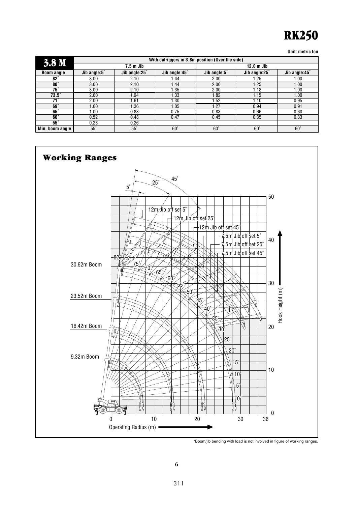# RK250

**Unit: metric ton**

| 3.8 <sub>M</sub>  |              |               | With outriggers in 3.8m position (Over the side) |              |               |               |  |
|-------------------|--------------|---------------|--------------------------------------------------|--------------|---------------|---------------|--|
|                   |              | $7.5m$ Jib    |                                                  | $12.0m$ Jib  |               |               |  |
| <b>Boom angle</b> | Jib angle:5° | Jib angle:25° | Jib angle:45°                                    | Jib angle:5° | Jib angle:25° | Jib angle:45° |  |
| $82^\circ$        | 3.00         | 2.10          | 1.44                                             | 2.00         | 1.25          | 1.00          |  |
| $80^\circ$        | 3.00         | 2.10          | 1.44                                             | 2.00         | 1.25          | 1.00          |  |
| 75°               | 3.00         | 2.10          | 1.35                                             | 2.00         | 1.18          | 1.00          |  |
| $73.5^\circ$      | 2.60         | 1.94          | 1.33                                             | 1.82         | 1.15          | 1.00          |  |
| $71^\circ$        | 2.00         | 1.61          | 1.30                                             | 1.52         | 1.10          | 0.95          |  |
| $69^\circ$        | 1.60         | 1.36          | 1.05                                             | 1.27         | 0.94          | 0.91          |  |
| $65^\circ$        | 00.1         | 0.88          | 0.75                                             | 0.83         | 0.66          | 0.60          |  |
| $60^\circ$        | 0.52         | 0.48          | 0.47                                             | 0.45         | 0.35          | 0.33          |  |
| $55^\circ$        | 0.28         | 0.26          |                                                  |              |               |               |  |
| Min. boom angle   | $55^\circ$   | $55^\circ$    | $60^\circ$                                       | $60^\circ$   | $60^\circ$    | $60^\circ$    |  |



\*Boom/jib bending with load is not involved in figure of working ranges.